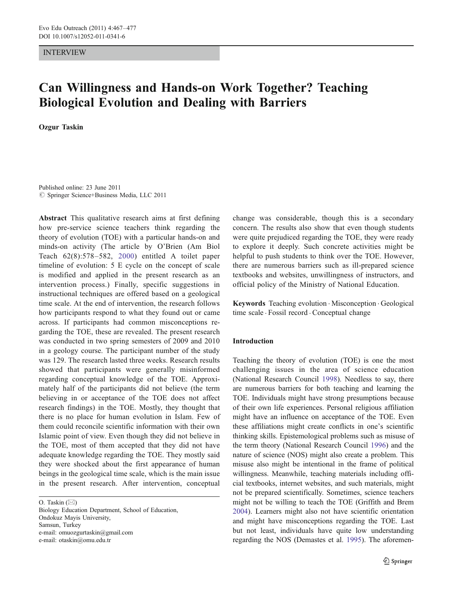INTERVIEW

# Can Willingness and Hands-on Work Together? Teaching Biological Evolution and Dealing with Barriers

Ozgur Taskin

Published online: 23 June 2011  $©$  Springer Science+Business Media, LLC 2011

Abstract This qualitative research aims at first defining how pre-service science teachers think regarding the theory of evolution (TOE) with a particular hands-on and minds-on activity (The article by O'Brien (Am Biol Teach 62(8):578–582, [2000\)](#page-9-0) entitled A toilet paper timeline of evolution: 5 E cycle on the concept of scale is modified and applied in the present research as an intervention process.) Finally, specific suggestions in instructional techniques are offered based on a geological time scale. At the end of intervention, the research follows how participants respond to what they found out or came across. If participants had common misconceptions regarding the TOE, these are revealed. The present research was conducted in two spring semesters of 2009 and 2010 in a geology course. The participant number of the study was 129. The research lasted three weeks. Research results showed that participants were generally misinformed regarding conceptual knowledge of the TOE. Approximately half of the participants did not believe (the term believing in or acceptance of the TOE does not affect research findings) in the TOE. Mostly, they thought that there is no place for human evolution in Islam. Few of them could reconcile scientific information with their own Islamic point of view. Even though they did not believe in the TOE, most of them accepted that they did not have adequate knowledge regarding the TOE. They mostly said they were shocked about the first appearance of human beings in the geological time scale, which is the main issue in the present research. After intervention, conceptual

O. Taskin  $(\boxtimes)$ 

Biology Education Department, School of Education, Ondokuz Mayis University, Samsun, Turkey e-mail: omuozgurtaskin@gmail.com e-mail: otaskin@omu.edu.tr

change was considerable, though this is a secondary concern. The results also show that even though students were quite prejudiced regarding the TOE, they were ready to explore it deeply. Such concrete activities might be helpful to push students to think over the TOE. However, there are numerous barriers such as ill-prepared science textbooks and websites, unwillingness of instructors, and official policy of the Ministry of National Education.

Keywords Teaching evolution . Misconception . Geological time scale . Fossil record . Conceptual change

#### Introduction

Teaching the theory of evolution (TOE) is one the most challenging issues in the area of science education (National Research Council [1998\)](#page-9-0). Needless to say, there are numerous barriers for both teaching and learning the TOE. Individuals might have strong presumptions because of their own life experiences. Personal religious affiliation might have an influence on acceptance of the TOE. Even these affiliations might create conflicts in one's scientific thinking skills. Epistemological problems such as misuse of the term theory (National Research Council [1996\)](#page-9-0) and the nature of science (NOS) might also create a problem. This misuse also might be intentional in the frame of political willingness. Meanwhile, teaching materials including official textbooks, internet websites, and such materials, might not be prepared scientifically. Sometimes, science teachers might not be willing to teach the TOE (Griffith and Brem [2004](#page-9-0)). Learners might also not have scientific orientation and might have misconceptions regarding the TOE. Last but not least, individuals have quite low understanding regarding the NOS (Demastes et al. [1995\)](#page-9-0). The aforemen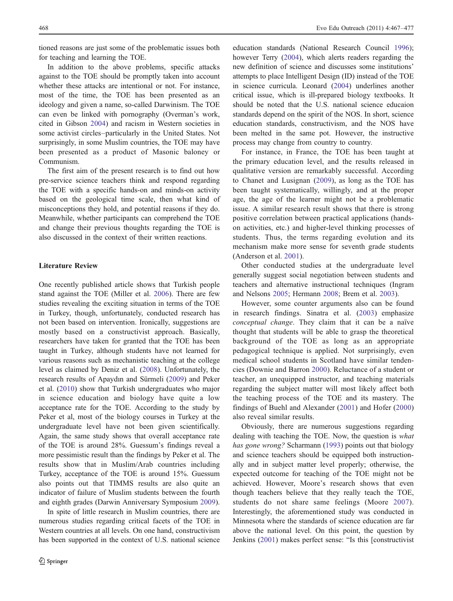tioned reasons are just some of the problematic issues both for teaching and learning the TOE.

In addition to the above problems, specific attacks against to the TOE should be promptly taken into account whether these attacks are intentional or not. For instance, most of the time, the TOE has been presented as an ideology and given a name, so-called Darwinism. The TOE can even be linked with pornography (Overman's work, cited in Gibson [2004](#page-9-0)) and racism in Western societies in some activist circles–particularly in the United States. Not surprisingly, in some Muslim countries, the TOE may have been presented as a product of Masonic baloney or Communism.

The first aim of the present research is to find out how pre-service science teachers think and respond regarding the TOE with a specific hands-on and minds-on activity based on the geological time scale, then what kind of misconceptions they hold, and potential reasons if they do. Meanwhile, whether participants can comprehend the TOE and change their previous thoughts regarding the TOE is also discussed in the context of their written reactions.

#### Literature Review

One recently published article shows that Turkish people stand against the TOE (Miller et al. [2006](#page-9-0)). There are few studies revealing the exciting situation in terms of the TOE in Turkey, though, unfortunately, conducted research has not been based on intervention. Ironically, suggestions are mostly based on a constructivist approach. Basically, researchers have taken for granted that the TOE has been taught in Turkey, although students have not learned for various reasons such as mechanistic teaching at the college level as claimed by Deniz et al. [\(2008](#page-9-0)). Unfortunately, the research results of Apaydın and Sürmeli ([2009\)](#page-9-0) and Peker et al. ([2010\)](#page-9-0) show that Turkish undergraduates who major in science education and biology have quite a low acceptance rate for the TOE. According to the study by Peker et al, most of the biology courses in Turkey at the undergraduate level have not been given scientifically. Again, the same study shows that overall acceptance rate of the TOE is around 28%. Guessum's findings reveal a more pessimistic result than the findings by Peker et al. The results show that in Muslim/Arab countries including Turkey, acceptance of the TOE is around 15%. Guessum also points out that TIMMS results are also quite an indicator of failure of Muslim students between the fourth and eighth grades (Darwin Anniversary Symposium [2009](#page-9-0)).

In spite of little research in Muslim countries, there are numerous studies regarding critical facets of the TOE in Western countries at all levels. On one hand, constructivism has been supported in the context of U.S. national science education standards (National Research Council [1996](#page-9-0)); however Terry [\(2004](#page-10-0)), which alerts readers regarding the new definition of science and discusses some institutions' attempts to place Intelligent Design (ID) instead of the TOE in science curricula. Leonard ([2004\)](#page-9-0) underlines another critical issue, which is ill-prepared biology textbooks. It should be noted that the U.S. national science educaion standards depend on the spirit of the NOS. In short, science education standards, constructivism, and the NOS have been melted in the same pot. However, the instructive process may change from country to country.

For instance, in France, the TOE has been taught at the primary education level, and the results released in qualitative version are remarkably successful. According to Chanet and Lusignan ([2009](#page-9-0)), as long as the TOE has been taught systematically, willingly, and at the proper age, the age of the learner might not be a problematic issue. A similar research result shows that there is strong positive correlation between practical applications (handson activities, etc.) and higher-level thinking processes of students. Thus, the terms regarding evolution and its mechanism make more sense for seventh grade students (Anderson et al. [2001](#page-9-0)).

Other conducted studies at the undergraduate level generally suggest social negotiation between students and teachers and alternative instructional techniques (Ingram and Nelsons [2005;](#page-9-0) Hermann [2008;](#page-9-0) Brem et al. [2003](#page-9-0)).

However, some counter arguments also can be found in research findings. Sinatra et al. [\(2003\)](#page-9-0) emphasize conceptual change. They claim that it can be a naïve thought that students will be able to grasp the theoretical background of the TOE as long as an appropriate pedagogical technique is applied. Not surprisingly, even medical school students in Scotland have similar tendencies (Downie and Barron [2000](#page-9-0)). Reluctance of a student or teacher, an unequipped instructor, and teaching materials regarding the subject matter will most likely affect both the teaching process of the TOE and its mastery. The findings of Buehl and Alexander ([2001](#page-9-0)) and Hofer ([2000](#page-9-0)) also reveal similar results.

Obviously, there are numerous suggestions regarding dealing with teaching the TOE. Now, the question is what has gone wrong? Scharmann [\(1993](#page-9-0)) points out that biology and science teachers should be equipped both instructionally and in subject matter level properly; otherwise, the expected outcome for teaching of the TOE might not be achieved. However, Moore's research shows that even though teachers believe that they really teach the TOE, students do not share same feelings (Moore [2007](#page-9-0)). Interestingly, the aforementioned study was conducted in Minnesota where the standards of science education are far above the national level. On this point, the question by Jenkins [\(2001](#page-9-0)) makes perfect sense: "Is this [constructivist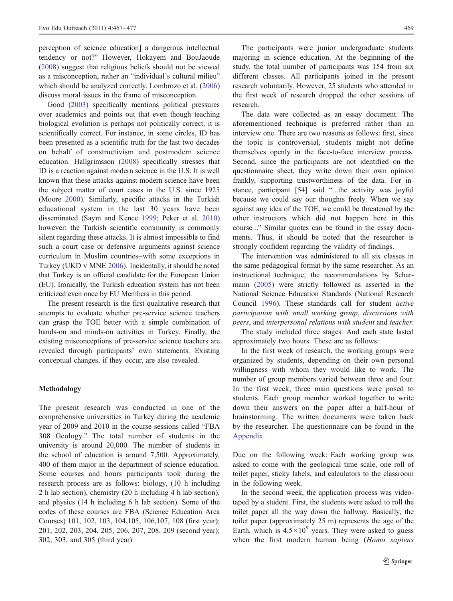perception of science education] a dangerous intellectual tendency or not?" However, Hokayem and BouJaoude [\(2008](#page-9-0)) suggest that religious beliefs should not be viewed as a misconception, rather an "individual's cultural milieu" which should be analyzed correctly. Lombrozo et al. ([2006\)](#page-9-0) discuss moral issues in the frame of misconception.

Good [\(2003](#page-9-0)) specifically mentions political pressures over academics and points out that even though teaching biological evolution is perhaps not politically correct, it is scientifically correct. For instance, in some circles, ID has been presented as a scientific truth for the last two decades on behalf of constructivism and postmodern science education. Hallgrimsson [\(2008](#page-9-0)) specifically stresses that ID is a reaction against modern science in the U.S. It is well known that these attacks against modern science have been the subject matter of court cases in the U.S. since 1925 (Moore [2000\)](#page-9-0). Similarly, specific attacks in the Turkish educational system in the last 30 years have been disseminated (Sayın and Kence [1999](#page-9-0); Peker et al. [2010\)](#page-9-0) however; the Turkish scientific community is commonly silent regarding these attacks. It is almost impossible to find such a court case or defensive arguments against science curriculum in Muslim countries–with some exceptions in Turkey (UKD v MNE [2006](#page-10-0)). Incidentally, it should be noted that Turkey is an official candidate for the European Union (EU). Ironically, the Turkish education system has not been criticized even once by EU Members in this period.

The present research is the first qualitative research that attempts to evaluate whether pre-service science teachers can grasp the TOE better with a simple combination of hands-on and minds-on activities in Turkey. Finally, the existing misconceptions of pre-service science teachers are revealed through participants' own statements. Existing conceptual changes, if they occur, are also revealed.

## Methodology

The present research was conducted in one of the comprehensive universities in Turkey during the academic year of 2009 and 2010 in the course sessions called "FBA 308 Geology." The total number of students in the university is around 20,000. The number of students in the school of education is around 7,500. Approximately, 400 of them major in the department of science education. Some courses and hours participants took during the research process are as follows: biology, (10 h including 2 h lab section), chemistry (20 h including 4 h lab section), and physics (14 h including 6 h lab section). Some of the codes of these courses are FBA (Science Education Area Courses) 101, 102, 103, 104,105, 106,107, 108 (first year); 201, 202, 203, 204, 205, 206, 207, 208, 209 (second year); 302, 303, and 305 (third year).

The participants were junior undergraduate students majoring in science education. At the beginning of the study, the total number of participants was 154 from six different classes. All participants joined in the present research voluntarily. However, 25 students who attended in the first week of research dropped the other sessions of research.

The data were collected as an essay document. The aforementioned technique is preferred rather than an interview one. There are two reasons as follows: first, since the topic is controversial, students might not define themselves openly in the face-to-face interview process. Second, since the participants are not identified on the questionnaire sheet, they write down their own opinion frankly, supporting trustworthiness of the data. For instance, participant [54] said "…the activity was joyful because we could say our thoughts freely. When we say against any idea of the TOE, we could be threatened by the other instructors which did not happen here in this course…" Similar quotes can be found in the essay documents. Thus, it should be noted that the researcher is strongly confident regarding the validity of findings.

The intervention was administered to all six classes in the same pedagogical format by the same researcher. As an instructional technique, the recommendations by Scharmann [\(2005](#page-9-0)) were strictly followed as asserted in the National Science Education Standards (National Research Council [1996\)](#page-9-0). These standards call for student active participation with small working group, discussions with peers, and interpersonal relations with student and teacher.

The study included three stages. And each state lasted approximately two hours. These are as follows:

In the first week of research, the working groups were organized by students, depending on their own personal willingness with whom they would like to work. The number of group members varied between three and four. In the first week, three main questions were posed to students. Each group member worked together to write down their answers on the paper after a half-hour of brainstorming. The written documents were taken back by the researcher. The questionnaire can be found in the [Appendix](#page-8-0).

Due on the following week: Each working group was asked to come with the geological time scale, one roll of toilet paper, sticky labels, and calculators to the classroom in the following week.

In the second week, the application process was videotaped by a student. First, the students were asked to roll the toilet paper all the way down the hallway. Basically, the toilet paper (approximately 25 m) represents the age of the Earth, which is  $4.5 \times 10^9$  years. They were asked to guess when the first modern human being (Homo sapiens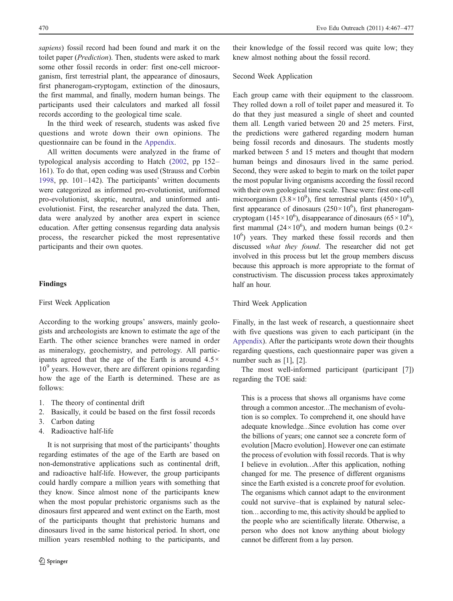sapiens) fossil record had been found and mark it on the toilet paper (*Prediction*). Then, students were asked to mark some other fossil records in order: first one-cell microorganism, first terrestrial plant, the appearance of dinosaurs, first phanerogam-cryptogam, extinction of the dinosaurs, the first mammal, and finally, modern human beings. The participants used their calculators and marked all fossil records according to the geological time scale.

In the third week of research, students was asked five questions and wrote down their own opinions. The questionnaire can be found in the [Appendix](#page-8-0).

All written documents were analyzed in the frame of typological analysis according to Hatch ([2002,](#page-9-0) pp 152– 161). To do that, open coding was used (Strauss and Corbin [1998,](#page-10-0) pp. 101–142). The participants' written documents were categorized as informed pro-evolutionist, uniformed pro-evolutionist, skeptic, neutral, and uninformed antievolutionist. First, the researcher analyzed the data. Then, data were analyzed by another area expert in science education. After getting consensus regarding data analysis process, the researcher picked the most representative participants and their own quotes.

#### Findings

#### First Week Application

According to the working groups' answers, mainly geologists and archeologists are known to estimate the age of the Earth. The other science branches were named in order as mineralogy, geochemistry, and petrology. All participants agreed that the age of the Earth is around  $4.5\times$  $10<sup>9</sup>$  years. However, there are different opinions regarding how the age of the Earth is determined. These are as follows:

- 1. The theory of continental drift
- 2. Basically, it could be based on the first fossil records
- 3. Carbon dating
- 4. Radioactive half-life

It is not surprising that most of the participants' thoughts regarding estimates of the age of the Earth are based on non-demonstrative applications such as continental drift, and radioactive half-life. However, the group participants could hardly compare a million years with something that they know. Since almost none of the participants knew when the most popular prehistoric organisms such as the dinosaurs first appeared and went extinct on the Earth, most of the participants thought that prehistoric humans and dinosaurs lived in the same historical period. In short, one million years resembled nothing to the participants, and

their knowledge of the fossil record was quite low; they knew almost nothing about the fossil record.

#### Second Week Application

Each group came with their equipment to the classroom. They rolled down a roll of toilet paper and measured it. To do that they just measured a single of sheet and counted them all. Length varied between 20 and 25 meters. First, the predictions were gathered regarding modern human being fossil records and dinosaurs. The students mostly marked between 5 and 15 meters and thought that modern human beings and dinosaurs lived in the same period. Second, they were asked to begin to mark on the toilet paper the most popular living organisms according the fossil record with their own geological time scale. These were: first one-cell microorganism  $(3.8 \times 10^9)$ , first terrestrial plants  $(450 \times 10^6)$ , first appearance of dinosaurs  $(250 \times 10^6)$ , first phanerogamcryptogam (145 $\times$ 10<sup>6</sup>), disappearance of dinosaurs (65 $\times$ 10<sup>6</sup>), first mammal ( $24 \times 10^6$ ), and modern human beings (0.2× 106 ) years. They marked these fossil records and then discussed what they found. The researcher did not get involved in this process but let the group members discuss because this approach is more appropriate to the format of constructivism. The discussion process takes approximately half an hour.

#### Third Week Application

Finally, in the last week of research, a questionnaire sheet with five questions was given to each participant (in the [Appendix](#page-8-0)). After the participants wrote down their thoughts regarding questions, each questionnaire paper was given a number such as [1], [2].

The most well-informed participant (participant [7]) regarding the TOE said:

This is a process that shows all organisms have come through a common ancestor…The mechanism of evolution is so complex. To comprehend it, one should have adequate knowledge…Since evolution has come over the billions of years; one cannot see a concrete form of evolution [Macro evolution]. However one can estimate the process of evolution with fossil records. That is why I believe in evolution…After this application, nothing changed for me. The presence of different organisms since the Earth existed is a concrete proof for evolution. The organisms which cannot adapt to the environment could not survive–that is explained by natural selection… according to me, this activity should be applied to the people who are scientifically literate. Otherwise, a person who does not know anything about biology cannot be different from a lay person.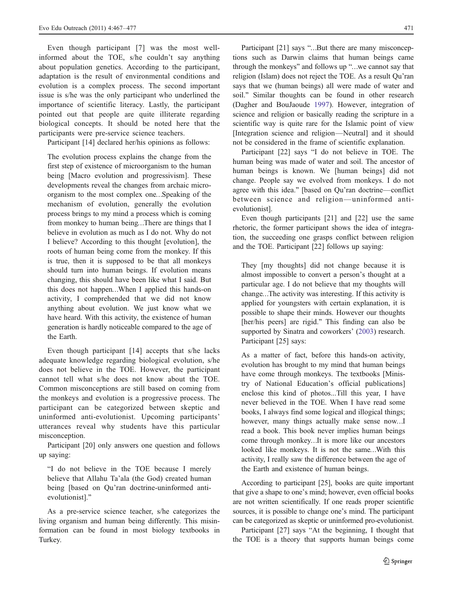Even though participant [7] was the most wellinformed about the TOE, s/he couldn't say anything about population genetics. According to the participant, adaptation is the result of environmental conditions and evolution is a complex process. The second important issue is s/he was the only participant who underlined the importance of scientific literacy. Lastly, the participant pointed out that people are quite illiterate regarding biological concepts. It should be noted here that the participants were pre-service science teachers.

Participant [14] declared her/his opinions as follows:

The evolution process explains the change from the first step of existence of microorganism to the human being [Macro evolution and progressivism]. These developments reveal the changes from archaic microorganism to the most complex one…Speaking of the mechanism of evolution, generally the evolution process brings to my mind a process which is coming from monkey to human being…There are things that I believe in evolution as much as I do not. Why do not I believe? According to this thought [evolution], the roots of human being come from the monkey. If this is true, then it is supposed to be that all monkeys should turn into human beings. If evolution means changing, this should have been like what I said. But this does not happen…When I applied this hands-on activity, I comprehended that we did not know anything about evolution. We just know what we have heard. With this activity, the existence of human generation is hardly noticeable compared to the age of the Earth.

Even though participant [14] accepts that s/he lacks adequate knowledge regarding biological evolution, s/he does not believe in the TOE. However, the participant cannot tell what s/he does not know about the TOE. Common misconceptions are still based on coming from the monkeys and evolution is a progressive process. The participant can be categorized between skeptic and uninformed anti-evolutionist. Upcoming participants' utterances reveal why students have this particular misconception.

Participant [20] only answers one question and follows up saying:

"I do not believe in the TOE because I merely believe that Allahu Ta'ala (the God) created human being [based on Qu'ran doctrine-uninformed antievolutionist]."

As a pre-service science teacher, s/he categorizes the living organism and human being differently. This misinformation can be found in most biology textbooks in Turkey.

Participant [21] says "...But there are many misconceptions such as Darwin claims that human beings came through the monkeys" and follows up "…we cannot say that religion (Islam) does not reject the TOE. As a result Qu'ran says that we (human beings) all were made of water and soil." Similar thoughts can be found in other research (Dagher and BouJaoude [1997](#page-9-0)). However, integration of science and religion or basically reading the scripture in a scientific way is quite rare for the Islamic point of view [Integration science and religion—Neutral] and it should not be considered in the frame of scientific explanation.

Participant [22] says "I do not believe in TOE. The human being was made of water and soil. The ancestor of human beings is known. We [human beings] did not change. People say we evolved from monkeys. I do not agree with this idea." [based on Qu'ran doctrine—conflict between science and religion—uninformed antievolutionist].

Even though participants [21] and [22] use the same rhetoric, the former participant shows the idea of integration, the succeeding one grasps conflict between religion and the TOE. Participant [22] follows up saying:

They [my thoughts] did not change because it is almost impossible to convert a person's thought at a particular age. I do not believe that my thoughts will change…The activity was interesting. If this activity is applied for youngsters with certain explanation, it is possible to shape their minds. However our thoughts [her/his peers] are rigid." This finding can also be supported by Sinatra and coworkers' [\(2003](#page-9-0)) research. Participant [25] says:

As a matter of fact, before this hands-on activity, evolution has brought to my mind that human beings have come through monkeys. The textbooks [Ministry of National Education's official publications] enclose this kind of photos...Till this year, I have never believed in the TOE. When I have read some books, I always find some logical and illogical things; however, many things actually make sense now…I read a book. This book never implies human beings come through monkey…It is more like our ancestors looked like monkeys. It is not the same…With this activity, I really saw the difference between the age of the Earth and existence of human beings.

According to participant [25], books are quite important that give a shape to one's mind; however, even official books are not written scientifically. If one reads proper scientific sources, it is possible to change one's mind. The participant can be categorized as skeptic or uninformed pro-evolutionist.

Participant [27] says "At the beginning, I thought that the TOE is a theory that supports human beings come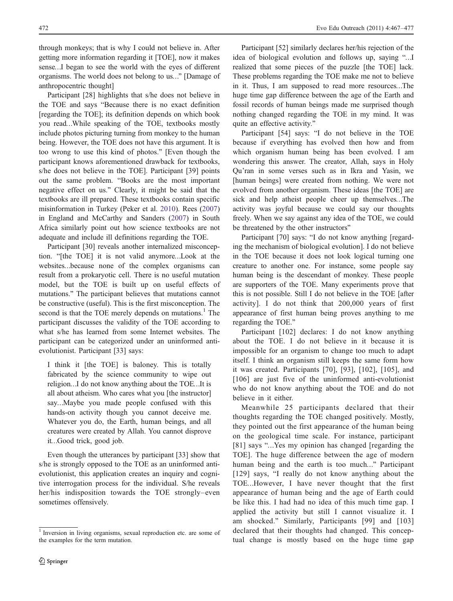through monkeys; that is why I could not believe in. After getting more information regarding it [TOE], now it makes sense…I began to see the world with the eyes of different organisms. The world does not belong to us…" [Damage of anthropocentric thought]

Participant [28] highlights that s/he does not believe in the TOE and says "Because there is no exact definition [regarding the TOE]; its definition depends on which book you read…While speaking of the TOE, textbooks mostly include photos picturing turning from monkey to the human being. However, the TOE does not have this argument. It is too wrong to use this kind of photos." [Even though the participant knows aforementioned drawback for textbooks, s/he does not believe in the TOE]. Participant [39] points out the same problem. "Books are the most important negative effect on us." Clearly, it might be said that the textbooks are ill prepared. These textbooks contain specific misinformation in Turkey (Peker et al. [2010\)](#page-9-0). Rees ([2007\)](#page-9-0) in England and McCarthy and Sanders [\(2007](#page-9-0)) in South Africa similarly point out how science textbooks are not adequate and include ill definitions regarding the TOE.

Participant [30] reveals another internalized misconception. "[the TOE] it is not valid anymore…Look at the websites…because none of the complex organisms can result from a prokaryotic cell. There is no useful mutation model, but the TOE is built up on useful effects of mutations." The participant believes that mutations cannot be constructive (useful). This is the first misconception. The second is that the TOE merely depends on mutations. $<sup>1</sup>$  The</sup> participant discusses the validity of the TOE according to what s/he has learned from some Internet websites. The participant can be categorized under an uninformed antievolutionist. Participant [33] says:

I think it [the TOE] is baloney. This is totally fabricated by the science community to wipe out religion…I do not know anything about the TOE…It is all about atheism. Who cares what you [the instructor] say…Maybe you made people confused with this hands-on activity though you cannot deceive me. Whatever you do, the Earth, human beings, and all creatures were created by Allah. You cannot disprove it…Good trick, good job.

Even though the utterances by participant [33] show that s/he is strongly opposed to the TOE as an uninformed antievolutionist, this application creates an inquiry and cognitive interrogation process for the individual. S/he reveals her/his indisposition towards the TOE strongly–even sometimes offensively.

Participant [52] similarly declares her/his rejection of the idea of biological evolution and follows up, saying "…I realized that some pieces of the puzzle [the TOE] lack. These problems regarding the TOE make me not to believe in it. Thus, I am supposed to read more resources…The huge time gap difference between the age of the Earth and fossil records of human beings made me surprised though nothing changed regarding the TOE in my mind. It was quite an effective activity."

Participant [54] says: "I do not believe in the TOE because if everything has evolved then how and from which organism human being has been evolved. I am wondering this answer. The creator, Allah, says in Holy Qu'ran in some verses such as in Ikra and Yasin, we [human beings] were created from nothing. We were not evolved from another organism. These ideas [the TOE] are sick and help atheist people cheer up themselves…The activity was joyful because we could say our thoughts freely. When we say against any idea of the TOE, we could be threatened by the other instructors"

Participant [70] says: "I do not know anything [regarding the mechanism of biological evolution]. I do not believe in the TOE because it does not look logical turning one creature to another one. For instance, some people say human being is the descendant of monkey. These people are supporters of the TOE. Many experiments prove that this is not possible. Still I do not believe in the TOE [after activity]. I do not think that 200,000 years of first appearance of first human being proves anything to me regarding the TOE."

Participant [102] declares: I do not know anything about the TOE. I do not believe in it because it is impossible for an organism to change too much to adapt itself. I think an organism still keeps the same form how it was created. Participants [70], [93], [102], [105], and [106] are just five of the uninformed anti-evolutionist who do not know anything about the TOE and do not believe in it either.

Meanwhile 25 participants declared that their thoughts regarding the TOE changed positively. Mostly, they pointed out the first appearance of the human being on the geological time scale. For instance, participant [81] says "…Yes my opinion has changed [regarding the TOE]. The huge difference between the age of modern human being and the earth is too much…" Participant [129] says, "I really do not know anything about the TOE…However, I have never thought that the first appearance of human being and the age of Earth could be like this. I had had no idea of this much time gap. I applied the activity but still I cannot visualize it. I am shocked." Similarly, Participants [99] and [103] declared that their thoughts had changed. This conceptual change is mostly based on the huge time gap

<sup>&</sup>lt;sup>1</sup> Inversion in living organisms, sexual reproduction etc. are some of the examples for the term mutation.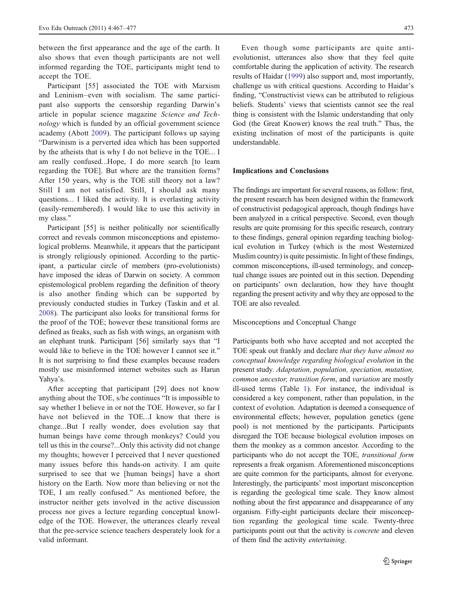between the first appearance and the age of the earth. It also shows that even though participants are not well informed regarding the TOE, participants might tend to accept the TOE.

Participant [55] associated the TOE with Marxism and Leninism–even with socialism. The same participant also supports the censorship regarding Darwin's article in popular science magazine Science and Technology which is funded by an official government science academy (Abott [2009](#page-9-0)). The participant follows up saying "Darwinism is a perverted idea which has been supported by the atheists that is why I do not believe in the TOE… I am really confused…Hope, I do more search [to learn regarding the TOE]. But where are the transition forms? After 150 years, why is the TOE still theory not a law? Still I am not satisfied. Still, I should ask many questions… I liked the activity. It is everlasting activity (easily-remembered). I would like to use this activity in my class."

Participant [55] is neither politically nor scientifically correct and reveals common misconceptions and epistemological problems. Meanwhile, it appears that the participant is strongly religiously opinioned. According to the participant, a particular circle of members (pro-evolutionists) have imposed the ideas of Darwin on society. A common epistemological problem regarding the definition of theory is also another finding which can be supported by previously conducted studies in Turkey (Taskin and et al. [2008\)](#page-10-0). The participant also looks for transitional forms for the proof of the TOE; however these transitional forms are defined as freaks, such as fish with wings, an organism with an elephant trunk. Participant [56] similarly says that "I would like to believe in the TOE however I cannot see it." It is not surprising to find these examples because readers mostly use misinformed internet websites such as Harun Yahya's.

After accepting that participant [29] does not know anything about the TOE, s/he continues "It is impossible to say whether I believe in or not the TOE. However, so far I have not believed in the TOE…I know that there is change...But I really wonder, does evolution say that human beings have come through monkeys? Could you tell us this in the course?...Only this activity did not change my thoughts; however I perceived that I never questioned many issues before this hands-on activity. I am quite surprised to see that we [human beings] have a short history on the Earth. Now more than believing or not the TOE, I am really confused." As mentioned before, the instructor neither gets involved in the active discussion process nor gives a lecture regarding conceptual knowledge of the TOE. However, the utterances clearly reveal that the pre-service science teachers desperately look for a valid informant.

Even though some participants are quite antievolutionist, utterances also show that they feel quite comfortable during the application of activity. The research results of Haidar [\(1999](#page-9-0)) also support and, most importantly, challenge us with critical questions. According to Haidar's finding, "Constructivist views can be attributed to religious beliefs. Students' views that scientists cannot see the real thing is consistent with the Islamic understanding that only God (the Great Knower) knows the real truth." Thus, the existing inclination of most of the participants is quite understandable.

#### Implications and Conclusions

The findings are important for several reasons, as follow: first, the present research has been designed within the framework of constructivist pedagogical approach, though findings have been analyzed in a critical perspective. Second, even though results are quite promising for this specific research, contrary to these findings, general opinion regarding teaching biological evolution in Turkey (which is the most Westernized Muslim country) is quite pessimistic. In light of these findings, common misconceptions, ill-used terminology, and conceptual change issues are pointed out in this section. Depending on participants' own declaration, how they have thought regarding the present activity and why they are opposed to the TOE are also revealed.

#### Misconceptions and Conceptual Change

Participants both who have accepted and not accepted the TOE speak out frankly and declare that they have almost no conceptual knowledge regarding biological evolution in the present study. Adaptation, population, speciation, mutation, common ancestor, transition form, and variation are mostly ill-used terms (Table [1\)](#page-7-0). For instance, the individual is considered a key component, rather than population, in the context of evolution. Adaptation is deemed a consequence of environmental effects; however, population genetics (gene pool) is not mentioned by the participants. Participants disregard the TOE because biological evolution imposes on them the monkey as a common ancestor. According to the participants who do not accept the TOE, transitional form represents a freak organism. Aforementioned misconceptions are quite common for the participants, almost for everyone. Interestingly, the participants' most important misconception is regarding the geological time scale. They know almost nothing about the first appearance and disappearance of any organism. Fifty-eight participants declare their misconception regarding the geological time scale. Twenty-three participants point out that the activity is concrete and eleven of them find the activity entertaining.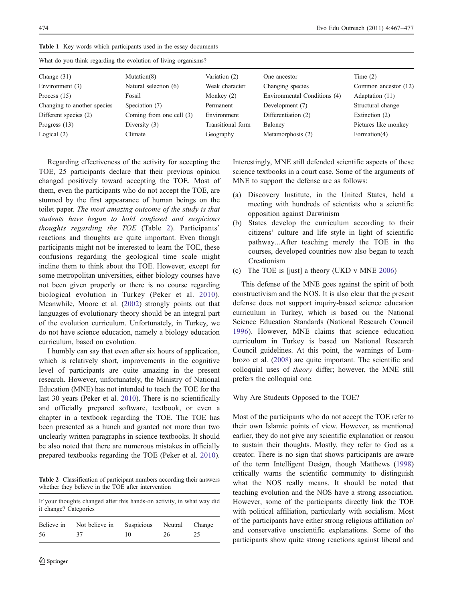| what do you think regarding the evolution of fiving organisms. |                          |                   |                              |                      |  |  |
|----------------------------------------------------------------|--------------------------|-------------------|------------------------------|----------------------|--|--|
| Change $(31)$                                                  | Mutation(8)              | Variation (2)     | One ancestor                 | Time $(2)$           |  |  |
| Environment (3)                                                | Natural selection (6)    | Weak character    | Changing species             | Common ancestor (12) |  |  |
| Process $(15)$                                                 | Fossil                   | Monkey $(2)$      | Environmental Conditions (4) | Adaptation (11)      |  |  |
| Changing to another species                                    | Speciation (7)           | Permanent         | Development (7)              | Structural change    |  |  |
| Different species (2)                                          | Coming from one cell (3) | Environment       | Differentiation (2)          | Extinction (2)       |  |  |
| Progress $(13)$                                                | Diversity $(3)$          | Transitional form | Baloney                      | Pictures like monkey |  |  |
| Logical $(2)$                                                  | Climate                  | Geography         | Metamorphosis (2)            | Formation(4)         |  |  |

<span id="page-7-0"></span>Table 1 Key words which participants used in the essay documents

|  |  |  |  | What do you think regarding the evolution of living organisms? |  |
|--|--|--|--|----------------------------------------------------------------|--|
|  |  |  |  |                                                                |  |

Regarding effectiveness of the activity for accepting the TOE, 25 participants declare that their previous opinion changed positively toward accepting the TOE. Most of them, even the participants who do not accept the TOE, are stunned by the first appearance of human beings on the toilet paper. The most amazing outcome of the study is that students have begun to hold confused and suspicious thoughts regarding the TOE (Table 2). Participants' reactions and thoughts are quite important. Even though participants might not be interested to learn the TOE, these confusions regarding the geological time scale might incline them to think about the TOE. However, except for some metropolitan universities, either biology courses have not been given properly or there is no course regarding biological evolution in Turkey (Peker et al. [2010](#page-9-0)). Meanwhile, Moore et al. [\(2002](#page-9-0)) strongly points out that languages of evolutionary theory should be an integral part of the evolution curriculum. Unfortunately, in Turkey, we do not have science education, namely a biology education curriculum, based on evolution.

I humbly can say that even after six hours of application, which is relatively short, improvements in the cognitive level of participants are quite amazing in the present research. However, unfortunately, the Ministry of National Education (MNE) has not intended to teach the TOE for the last 30 years (Peker et al. [2010\)](#page-9-0). There is no scientifically and officially prepared software, textbook, or even a chapter in a textbook regarding the TOE. The TOE has been presented as a hunch and granted not more than two unclearly written paragraphs in science textbooks. It should be also noted that there are numerous mistakes in officially prepared textbooks regarding the TOE (Peker et al. [2010](#page-9-0)).

Table 2 Classification of participant numbers according their answers whether they believe in the TOE after intervention

| If your thoughts changed after this hands-on activity, in what way did |  |  |  |
|------------------------------------------------------------------------|--|--|--|
| it change? Categories                                                  |  |  |  |

| Believe in | Not believe in | Suspicious | Neutral | Change |
|------------|----------------|------------|---------|--------|
| 56         |                | 10         | 26      |        |

Interestingly, MNE still defended scientific aspects of these science textbooks in a court case. Some of the arguments of MNE to support the defense are as follows:

- (a) Discovery Institute, in the United States, held a meeting with hundreds of scientists who a scientific opposition against Darwinism
- (b) States develop the curriculum according to their citizens' culture and life style in light of scientific pathway…After teaching merely the TOE in the courses, developed countries now also began to teach Creationism
- (c) The TOE is [just] a theory (UKD v MNE [2006\)](#page-10-0)

This defense of the MNE goes against the spirit of both constructivism and the NOS. It is also clear that the present defense does not support inquiry-based science education curriculum in Turkey, which is based on the National Science Education Standards (National Research Council [1996\)](#page-9-0). However, MNE claims that science education curriculum in Turkey is based on National Research Council guidelines. At this point, the warnings of Lombrozo et al. ([2008\)](#page-9-0) are quite important. The scientific and colloquial uses of theory differ; however, the MNE still prefers the colloquial one.

# Why Are Students Opposed to the TOE?

Most of the participants who do not accept the TOE refer to their own Islamic points of view. However, as mentioned earlier, they do not give any scientific explanation or reason to sustain their thoughts. Mostly, they refer to God as a creator. There is no sign that shows participants are aware of the term Intelligent Design, though Matthews [\(1998](#page-9-0)) critically warns the scientific community to distinguish what the NOS really means. It should be noted that teaching evolution and the NOS have a strong association. However, some of the participants directly link the TOE with political affiliation, particularly with socialism. Most of the participants have either strong religious affiliation or/ and conservative unscientific explanations. Some of the participants show quite strong reactions against liberal and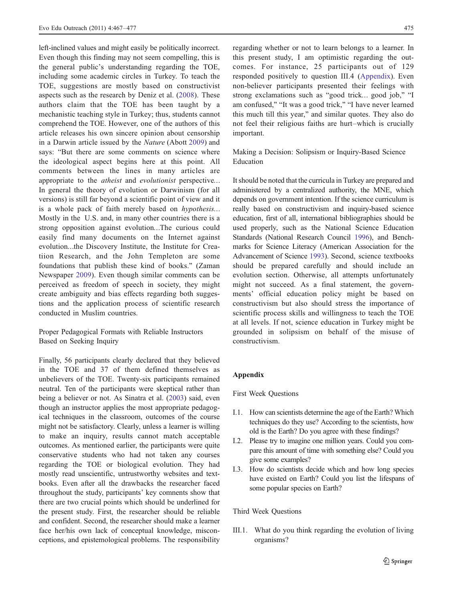<span id="page-8-0"></span>left-inclined values and might easily be politically incorrect. Even though this finding may not seem compelling, this is the general public's understanding regarding the TOE, including some academic circles in Turkey. To teach the TOE, suggestions are mostly based on constructivist aspects such as the research by Deniz et al. [\(2008\)](#page-9-0). These authors claim that the TOE has been taught by a mechanistic teaching style in Turkey; thus, students cannot comprehend the TOE. However, one of the authors of this article releases his own sincere opinion about censorship in a Darwin article issued by the Nature (Abott [2009\)](#page-9-0) and says: "But there are some comments on science where the ideological aspect begins here at this point. All comments between the lines in many articles are appropriate to the *atheist* and *evolutionist* perspective... In general the theory of evolution or Darwinism (for all versions) is still far beyond a scientific point of view and it is a whole pack of faith merely based on hypothesis... Mostly in the U.S. and, in many other countries there is a strong opposition against evolution…The curious could easily find many documents on the Internet against evolution…the Discovery Institute, the Institute for Creatiion Research, and the John Templeton are some foundations that publish these kind of books." (Zaman Newspaper [2009](#page-10-0)). Even though similar comments can be perceived as freedom of speech in society, they might create ambiguity and bias effects regarding both suggestions and the application process of scientific research conducted in Muslim countries.

Proper Pedagogical Formats with Reliable Instructors Based on Seeking Inquiry

Finally, 56 participants clearly declared that they believed in the TOE and 37 of them defined themselves as unbelievers of the TOE. Twenty-six participants remained neutral. Ten of the participants were skeptical rather than being a believer or not. As Sinatra et al. ([2003\)](#page-9-0) said, even though an instructor applies the most appropriate pedagogical techniques in the classroom, outcomes of the course might not be satisfactory. Clearly, unless a learner is willing to make an inquiry, results cannot match acceptable outcomes. As mentioned earlier, the participants were quite conservative students who had not taken any courses regarding the TOE or biological evolution. They had mostly read unscientific, untrustworthy websites and textbooks. Even after all the drawbacks the researcher faced throughout the study, participants' key comnents show that there are two crucial points which should be underlined for the present study. First, the researcher should be reliable and confident. Second, the researcher should make a learner face her/his own lack of conceptual knowledge, misconceptions, and epistemological problems. The responsibility

regarding whether or not to learn belongs to a learner. In this present study, I am optimistic regarding the outcomes. For instance, 25 participants out of 129 responded positively to question III.4 (Appendix). Even non-believer participants presented their feelings with strong exclamations such as "good trick… good job," "I am confused," "It was a good trick," "I have never learned this much till this year," and similar quotes. They also do not feel their religious faiths are hurt–which is crucially important.

Making a Decision: Solipsism or Inquiry-Based Science Education

It should be noted that the curricula in Turkey are prepared and administered by a centralized authority, the MNE, which depends on government intention. If the science curriculum is really based on constructivism and inquiry-based science education, first of all, international bibliographies should be used properly, such as the National Science Education Standards (National Research Council [1996\)](#page-9-0), and Benchmarks for Science Literacy (American Association for the Advancement of Science [1993\)](#page-9-0). Second, science textbooks should be prepared carefully and should include an evolution section. Otherwise, all attempts unfortunately might not succeed. As a final statement, the governments' official education policy might be based on constructivism but also should stress the importance of scientific process skills and willingness to teach the TOE at all levels. If not, science education in Turkey might be grounded in solipsism on behalf of the misuse of constructivism.

# Appendix

First Week Questions

- I.1. How can scientists determine the age of the Earth? Which techniques do they use? According to the scientists, how old is the Earth? Do you agree with these findings?
- I.2. Please try to imagine one million years. Could you compare this amount of time with something else? Could you give some examples?
- I.3. How do scientists decide which and how long species have existed on Earth? Could you list the lifespans of some popular species on Earth?

Third Week Questions

III.1. What do you think regarding the evolution of living organisms?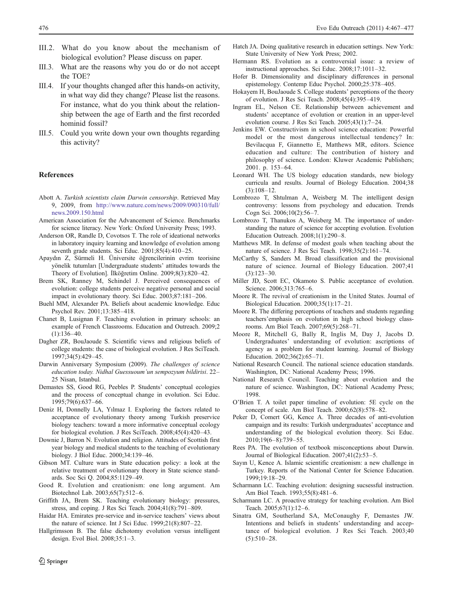- <span id="page-9-0"></span>III.2. What do you know about the mechanism of biological evolution? Please discuss on paper.
- III.3. What are the reasons why you do or do not accept the TOE?
- III.4. If your thoughts changed after this hands-on activity, in what way did they change? Please list the reasons. For instance, what do you think about the relationship between the age of Earth and the first recorded hominid fossil?
- III.5. Could you write down your own thoughts regarding this activity?

## References

- Abott A. Turkish scientists claim Darwin censorship. Retrieved May 9, 2009, from [http://www.nature.com/news/2009/090310/full/](http://www.nature.com/news/2009/090310/full/news.2009.150.html) [news.2009.150.html](http://www.nature.com/news/2009/090310/full/news.2009.150.html)
- American Association for the Advancement of Science. Benchmarks for science literacy. New York: Oxford University Press; 1993.
- Anderson OR, Randle D, Covotsos T. The role of ideational networks in laboratory inquiry learning and knowledge of evolution among seventh grade students. Sci Educ. 2001;85(4):410–25.
- Apaydın Z, Sürmeli H. Üniversite öğrencilerinin evrim teorisine yönelik tutumları [Undergraduate students' attitudes towards the Theory of Evolution]. İlköğretim Online. 2009;8(3):820–42.
- Brem SK, Ranney M, Schindel J. Perceived consequences of evolution: college students perceive negative personal and social impact in evolutionary theory. Sci Educ. 2003;87:181–206.
- Buehl MM, Alexander PA. Beliefs about academic knowledge. Educ Psychol Rev. 2001;13:385–418.
- Chanet B, Lusignan F. Teaching evolution in primary schools: an example of French Classrooms. Education and Outreach. 2009;2  $(1):136-40.$
- Dagher ZR, BouJaoude S. Scientific views and religious beliefs of college students: the case of biological evolution. J Res SciTeach. 1997;34(5):429–45.
- Darwin Anniversary Symposium (2009). The challenges of science education today. Nidhal Guessuoum'un sempozyum bildirisi. 22– 25 Nisan, Istanbul.
- Demastes SS, Good RG, Peebles P. Students' conceptual ecologies and the process of conceptual change in evolution. Sci Educ. 1995;79(6):637–66.
- Deniz H, Donnelly LA, Yılmaz I. Exploring the factors related to acceptance of evolutionary theory among Turkish preservice biology teachers: toward a more informative conceptual ecology for biological evolution. J Res SciTeach. 2008;45(4):420–43.
- Downie J, Barron N. Evolution and religion. Attitudes of Scottish first year biology and medical students to the teaching of evolutionary biology. J Biol Educ. 2000;34:139–46.
- Gibson MT. Culture wars in State education policy: a look at the relative treatment of evolutionary theory in State science standards. Soc Sci Q. 2004;85:1129–49.
- Good R. Evolution and creationism: one long argument. Am Biotechnol Lab. 2003;65(7):512–6.
- Griffith JA, Brem SK. Teaching evolutionary biology: pressures, stress, and coping. J Res Sci Teach. 2004;41(8):791–809.
- Haidar HA. Emirates pre-service and in-service teachers' views about the nature of science. Int J Sci Educ. 1999;21(8):807–22.
- Hallgrimsson B. The false dichotomy evolution versus intelligent design. Evol Biol. 2008;35:1–3.
- Hatch JA. Doing qualitative research in education settings. New York: State University of New York Press; 2002.
- Hermann RS. Evolution as a controversial issue: a review of instructional approaches. Sci Educ. 2008;17:1011–32.
- Hofer B. Dimensionality and disciplinary differences in personal epistemology. Contemp Educ Psychol. 2000;25:378–405.
- Hokayem H, BouJaoude S. College students' perceptions of the theory of evolution. J Res Sci Teach. 2008;45(4):395–419.
- Ingram EL, Nelson CE. Relationship between achievement and students' acceptance of evolution or creation in an upper-level evolution course. J Res Sci Teach. 2005;43(1):7–24.
- Jenkins EW. Constructivism in school science education: Powerful model or the most dangerous intellectual tendency? In: Bevilacqua F, Giannetto E, Matthews MR, editors. Science education and culture: The contribution of history and philosophy of science. London: Kluwer Academic Publishers; 2001. p. 153–64.
- Leonard WH. The US biology education standards, new biology curricula and results. Journal of Biology Education. 2004;38 (3):108–12.
- Lombrozo T, Shtulman A, Weisberg M. The intelligent design controversy: lessons from psychology and education. Trends Cogn Sci. 2006;10(2):56–7.
- Lombrozo T, Thanukos A, Weisberg M. The importance of understanding the nature of science for accepting evolution. Evolution Education Outreach. 2008;1(1):290–8.
- Matthews MR. In defense of modest goals when teaching about the nature of science. J Res Sci Teach. 1998;35(2):161–74.
- McCarthy S, Sanders M. Broad classification and the provisional nature of science. Journal of Biology Education. 2007;41 (3):123–30.
- Miller JD, Scott EC, Okamoto S. Public acceptance of evolution. Science. 2006;313:765–6.
- Moore R. The revival of creationism in the United States. Journal of Biological Education. 2000;35(1):17–21.
- Moore R. The differing perceptions of teachers and students regarding teachers'emphasis on evolution in high school biology classrooms. Am Biol Teach. 2007;69(5):268–71.
- Moore R, Mitchell G, Bally R, Inglis M, Day J, Jacobs D. Undergraduates' understanding of evolution: ascriptions of agency as a problem for student learning. Journal of Biology Education. 2002;36(2):65–71.
- National Research Council. The national science education standards. Washington, DC: National Academy Press; 1996.
- National Research Council. Teaching about evolution and the nature of science. Washington, DC: National Academy Press; 1998.
- O'Brien T. A toilet paper timeline of evolution: 5E cycle on the concept of scale. Am Biol Teach. 2000;62(8):578–82.
- Peker D, Comert GG, Kence A. Three decades of anti-evolution campaign and its results: Turkish undergraduates' acceptance and understanding of the biological evolution theory. Sci Educ. 2010;19(6–8):739–55.
- Rees PA. The evolution of textbook misconceptions about Darwin. Journal of Biological Education. 2007;41(2):53–5.
- Sayın U, Kence A. Islamic scientific creationism: a new challenge in Turkey. Reports of the National Center for Science Education. 1999;19:18–29.
- Scharmann LC. Teaching evolution: designing sucsessful instruction. Am Biol Teach. 1993;55(8):481–6.
- Scharmann LC. A proactive strategy for teaching evolution. Am Biol Teach. 2005;67(1):12–6.
- Sinatra GM, Southerland SA, McConaughy F, Demastes JW. Intentions and beliefs in students' understanding and acceptance of biological evolution. J Res Sci Teach. 2003;40 (5):510–28.